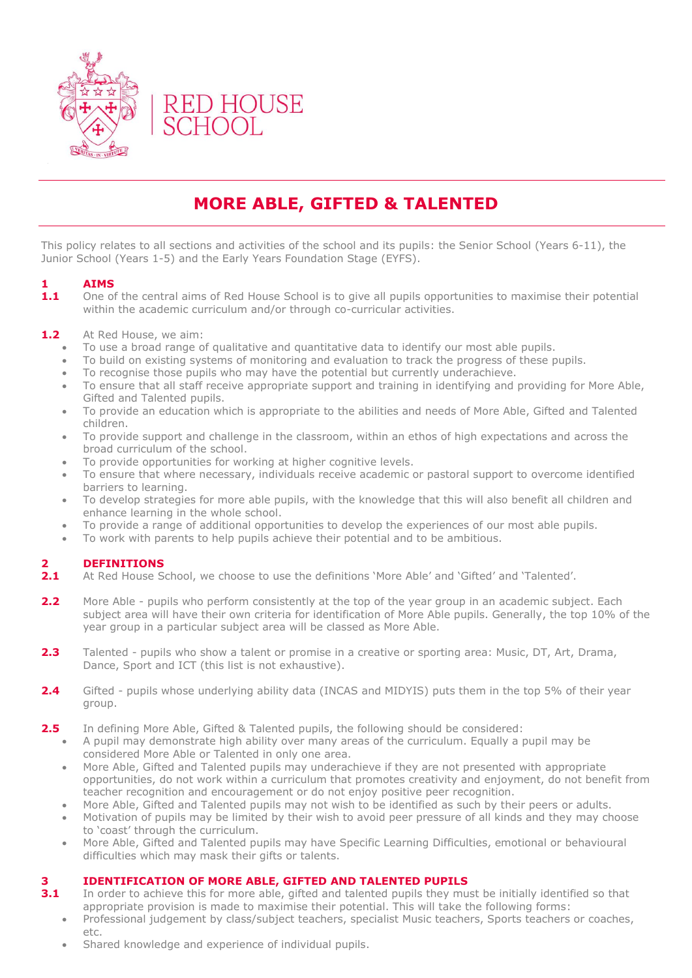

# **MORE ABLE, GIFTED & TALENTED**

This policy relates to all sections and activities of the school and its pupils: the Senior School (Years 6-11), the Junior School (Years 1-5) and the Early Years Foundation Stage (EYFS).

### **1 AIMS**

**1.1** One of the central aims of Red House School is to give all pupils opportunities to maximise their potential within the academic curriculum and/or through co-curricular activities.

#### 1.2 At Red House, we aim:

- To use a broad range of qualitative and quantitative data to identify our most able pupils.
- To build on existing systems of monitoring and evaluation to track the progress of these pupils.
- To recognise those pupils who may have the potential but currently underachieve.
- To ensure that all staff receive appropriate support and training in identifying and providing for More Able, Gifted and Talented pupils.
- To provide an education which is appropriate to the abilities and needs of More Able, Gifted and Talented children.
- To provide support and challenge in the classroom, within an ethos of high expectations and across the broad curriculum of the school.
- To provide opportunities for working at higher cognitive levels.
- To ensure that where necessary, individuals receive academic or pastoral support to overcome identified barriers to learning.
- To develop strategies for more able pupils, with the knowledge that this will also benefit all children and enhance learning in the whole school.
- To provide a range of additional opportunities to develop the experiences of our most able pupils.
- To work with parents to help pupils achieve their potential and to be ambitious.

#### **2 DEFINITIONS**

- **2.1** At Red House School, we choose to use the definitions 'More Able' and 'Gifted' and 'Talented'.
- **2.2** More Able pupils who perform consistently at the top of the year group in an academic subject. Each subject area will have their own criteria for identification of More Able pupils. Generally, the top 10% of the year group in a particular subject area will be classed as More Able.
- **2.3** Talented pupils who show a talent or promise in a creative or sporting area: Music, DT, Art, Drama, Dance, Sport and ICT (this list is not exhaustive).
- **2.4** Gifted pupils whose underlying ability data (INCAS and MIDYIS) puts them in the top 5% of their year group.
- **2.5** In defining More Able, Gifted & Talented pupils, the following should be considered:
	- A pupil may demonstrate high ability over many areas of the curriculum. Equally a pupil may be considered More Able or Talented in only one area.
	- More Able, Gifted and Talented pupils may underachieve if they are not presented with appropriate opportunities, do not work within a curriculum that promotes creativity and enjoyment, do not benefit from teacher recognition and encouragement or do not enjoy positive peer recognition.
	- More Able, Gifted and Talented pupils may not wish to be identified as such by their peers or adults.
	- Motivation of pupils may be limited by their wish to avoid peer pressure of all kinds and they may choose to 'coast' through the curriculum.
	- More Able, Gifted and Talented pupils may have Specific Learning Difficulties, emotional or behavioural difficulties which may mask their gifts or talents.

#### **3 IDENTIFICATION OF MORE ABLE, GIFTED AND TALENTED PUPILS**

- **3.1** In order to achieve this for more able, gifted and talented pupils they must be initially identified so that appropriate provision is made to maximise their potential. This will take the following forms:
	- Professional judgement by class/subject teachers, specialist Music teachers, Sports teachers or coaches, etc.
	- Shared knowledge and experience of individual pupils.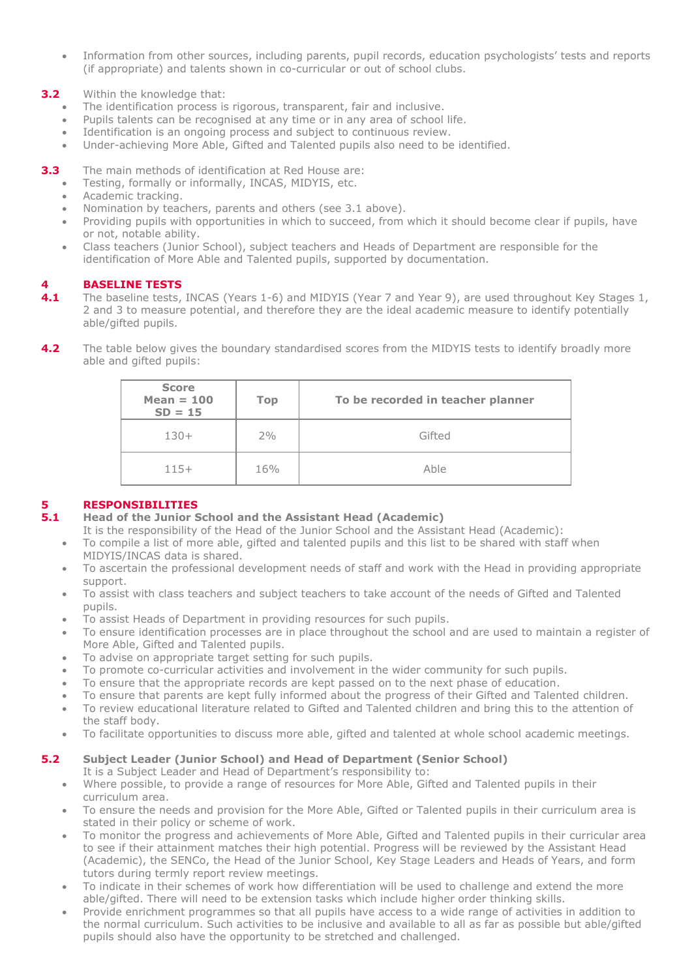• Information from other sources, including parents, pupil records, education psychologists' tests and reports (if appropriate) and talents shown in co-curricular or out of school clubs.

#### **3.2** Within the knowledge that:

- The identification process is rigorous, transparent, fair and inclusive.
- Pupils talents can be recognised at any time or in any area of school life.
- Identification is an ongoing process and subject to continuous review.
- Under-achieving More Able, Gifted and Talented pupils also need to be identified.

**3.3** The main methods of identification at Red House are:

- Testing, formally or informally, INCAS, MIDYIS, etc.
- Academic tracking.
- Nomination by teachers, parents and others (see 3.1 above).
- Providing pupils with opportunities in which to succeed, from which it should become clear if pupils, have or not, notable ability.
- Class teachers (Junior School), subject teachers and Heads of Department are responsible for the identification of More Able and Talented pupils, supported by documentation.

#### **4 BASELINE TESTS**

- **4.1** The baseline tests, INCAS (Years 1-6) and MIDYIS (Year 7 and Year 9), are used throughout Key Stages 1, 2 and 3 to measure potential, and therefore they are the ideal academic measure to identify potentially able/gifted pupils.
- **4.2** The table below gives the boundary standardised scores from the MIDYIS tests to identify broadly more able and gifted pupils:

| <b>Score</b><br>Mean $= 100$<br>$SD = 15$ | <b>Top</b> | To be recorded in teacher planner |
|-------------------------------------------|------------|-----------------------------------|
| $130+$                                    | 2%         | Gifted                            |
| $115+$                                    | 16%        | Able                              |

#### **5 RESPONSIBILITIES**

- **5.1 Head of the Junior School and the Assistant Head (Academic)**
	- It is the responsibility of the Head of the Junior School and the Assistant Head (Academic):
	- To compile a list of more able, gifted and talented pupils and this list to be shared with staff when MIDYIS/INCAS data is shared.
	- To ascertain the professional development needs of staff and work with the Head in providing appropriate support.
	- To assist with class teachers and subject teachers to take account of the needs of Gifted and Talented pupils.
	- To assist Heads of Department in providing resources for such pupils.
	- To ensure identification processes are in place throughout the school and are used to maintain a register of More Able, Gifted and Talented pupils.
	- To advise on appropriate target setting for such pupils.
	- To promote co-curricular activities and involvement in the wider community for such pupils.
	- To ensure that the appropriate records are kept passed on to the next phase of education.
	- To ensure that parents are kept fully informed about the progress of their Gifted and Talented children.
	- To review educational literature related to Gifted and Talented children and bring this to the attention of the staff body.
	- To facilitate opportunities to discuss more able, gifted and talented at whole school academic meetings.

#### **5.2 Subject Leader (Junior School) and Head of Department (Senior School)**

- It is a Subject Leader and Head of Department's responsibility to:
- Where possible, to provide a range of resources for More Able, Gifted and Talented pupils in their curriculum area.
- To ensure the needs and provision for the More Able, Gifted or Talented pupils in their curriculum area is stated in their policy or scheme of work.
- To monitor the progress and achievements of More Able, Gifted and Talented pupils in their curricular area to see if their attainment matches their high potential. Progress will be reviewed by the Assistant Head (Academic), the SENCo, the Head of the Junior School, Key Stage Leaders and Heads of Years, and form tutors during termly report review meetings.
- To indicate in their schemes of work how differentiation will be used to challenge and extend the more able/gifted. There will need to be extension tasks which include higher order thinking skills.
- Provide enrichment programmes so that all pupils have access to a wide range of activities in addition to the normal curriculum. Such activities to be inclusive and available to all as far as possible but able/gifted pupils should also have the opportunity to be stretched and challenged.